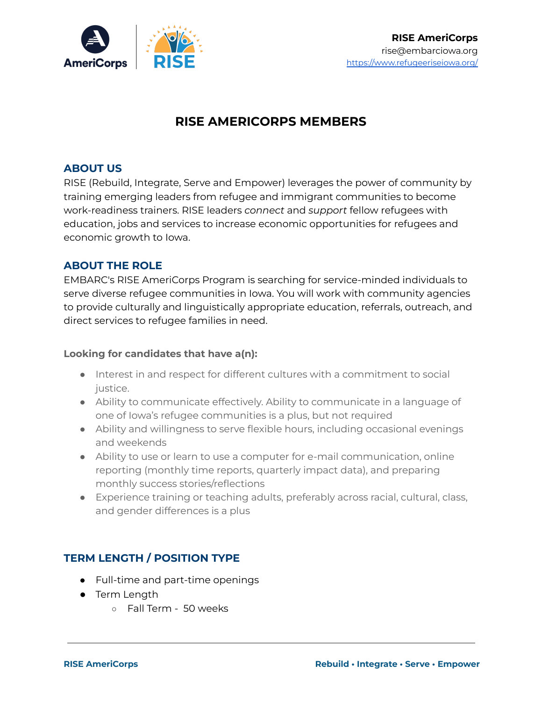

# **RISE AMERICORPS MEMBERS**

### **ABOUT US**

RISE (Rebuild, Integrate, Serve and Empower) leverages the power of community by training emerging leaders from refugee and immigrant communities to become work-readiness trainers. RISE leaders *connect* and *support* fellow refugees with education, jobs and services to increase economic opportunities for refugees and economic growth to Iowa.

## **ABOUT THE ROLE**

EMBARC's RISE AmeriCorps Program is searching for service-minded individuals to serve diverse refugee communities in Iowa. You will work with community agencies to provide culturally and linguistically appropriate education, referrals, outreach, and direct services to refugee families in need.

#### **Looking for candidates that have a(n):**

- Interest in and respect for different cultures with a commitment to social justice.
- Ability to communicate effectively. Ability to communicate in a language of one of Iowa's refugee communities is a plus, but not required
- Ability and willingness to serve flexible hours, including occasional evenings and weekends
- Ability to use or learn to use a computer for e-mail communication, online reporting (monthly time reports, quarterly impact data), and preparing monthly success stories/reflections
- Experience training or teaching adults, preferably across racial, cultural, class, and gender differences is a plus

# **TERM LENGTH / POSITION TYPE**

- Full-time and part-time openings
- Term Length
	- Fall Term 50 weeks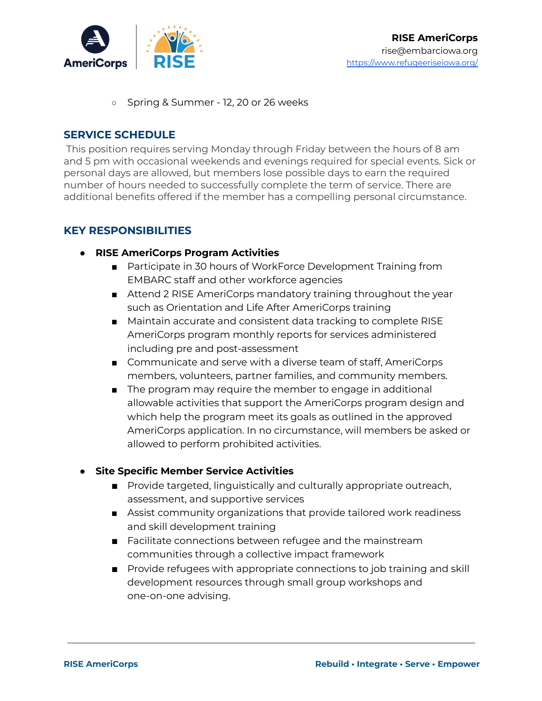

○ Spring & Summer - 12, 20 or 26 weeks

#### **SERVICE SCHEDULE**

This position requires serving Monday through Friday between the hours of 8 am and 5 pm with occasional weekends and evenings required for special events. Sick or personal days are allowed, but members lose possible days to earn the required number of hours needed to successfully complete the term of service. There are additional benefits offered if the member has a compelling personal circumstance.

#### **KEY RESPONSIBILITIES**

- **● RISE AmeriCorps Program Activities**
	- Participate in 30 hours of WorkForce Development Training from EMBARC staff and other workforce agencies
	- Attend 2 RISE AmeriCorps mandatory training throughout the year such as Orientation and Life After AmeriCorps training
	- Maintain accurate and consistent data tracking to complete RISE AmeriCorps program monthly reports for services administered including pre and post-assessment
	- Communicate and serve with a diverse team of staff, AmeriCorps members, volunteers, partner families, and community members.
	- The program may require the member to engage in additional allowable activities that support the AmeriCorps program design and which help the program meet its goals as outlined in the approved AmeriCorps application. In no circumstance, will members be asked or allowed to perform prohibited activities.

#### **● Site Specific Member Service Activities**

- Provide targeted, linguistically and culturally appropriate outreach, assessment, and supportive services
- Assist community organizations that provide tailored work readiness and skill development training
- Facilitate connections between refugee and the mainstream communities through a collective impact framework
- Provide refugees with appropriate connections to job training and skill development resources through small group workshops and one-on-one advising.